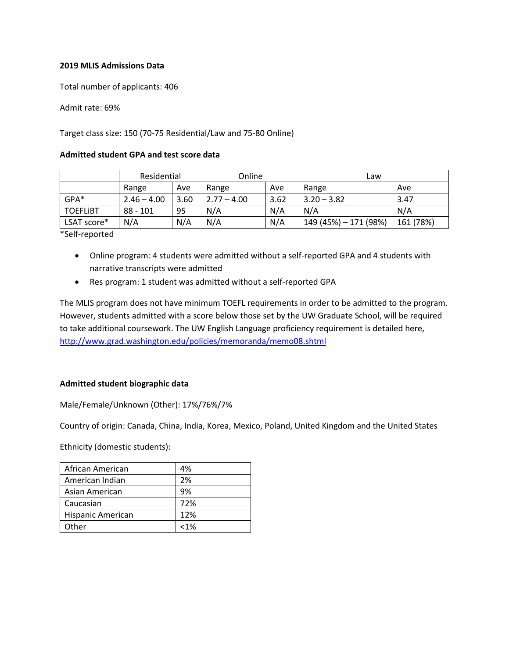# **2019 MLIS Admissions Data**

Total number of applicants: 406

Admit rate: 69%

## Target class size: 150 (70-75 Residential/Law and 75-80 Online)

#### **Admitted student GPA and test score data**

|                 | Residential   |      | Online        |      | Law                   |           |
|-----------------|---------------|------|---------------|------|-----------------------|-----------|
|                 | Range         | Ave  | Range         | Ave  | Range                 | Ave       |
| GPA*            | $2.46 - 4.00$ | 3.60 | $2.77 - 4.00$ | 3.62 | $3.20 - 3.82$         | 3.47      |
| <b>TOEFLIBT</b> | 88 - 101      | 95   | N/A           | N/A  | N/A                   | N/A       |
| LSAT score*     | N/A           | N/A  | N/A           | N/A  | 149 (45%) - 171 (98%) | 161 (78%) |

\*Self-reported

- Online program: 4 students were admitted without a self-reported GPA and 4 students with narrative transcripts were admitted
- Res program: 1 student was admitted without a self-reported GPA

The MLIS program does not have minimum TOEFL requirements in order to be admitted to the program. However, students admitted with a score below those set by the UW Graduate School, will be required to take additional coursework. The UW English Language proficiency requirement is detailed here, <http://www.grad.washington.edu/policies/memoranda/memo08.shtml>

#### **Admitted student biographic data**

Male/Female/Unknown (Other): 17%/76%/7%

Country of origin: Canada, China, India, Korea, Mexico, Poland, United Kingdom and the United States

Ethnicity (domestic students):

| African American  | 4%      |
|-------------------|---------|
| American Indian   | 2%      |
| Asian American    | 9%      |
| Caucasian         | 72%     |
| Hispanic American | 12%     |
| Other             | $< 1\%$ |